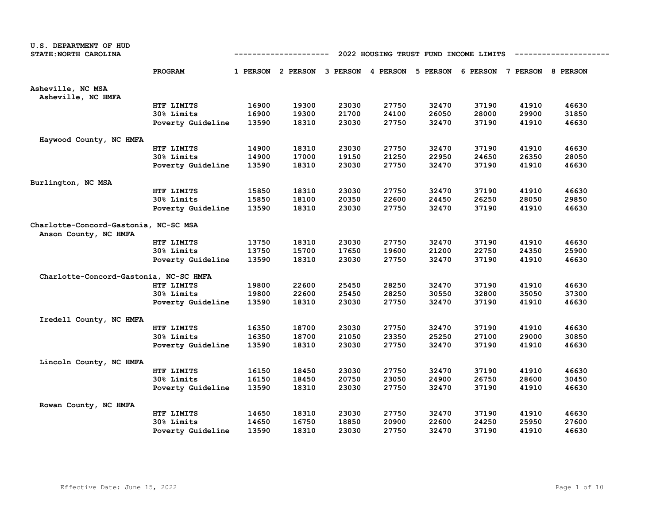| <b>U.S. DEPARTMENT OF HUD</b><br>STATE: NORTH CAROLINA         | 2022 HOUSING TRUST FUND INCOME LIMITS<br>----------- |       |       |       |       |                                              |       |                            |       |  |
|----------------------------------------------------------------|------------------------------------------------------|-------|-------|-------|-------|----------------------------------------------|-------|----------------------------|-------|--|
|                                                                | PROGRAM                                              |       |       |       |       | 1 PERSON 2 PERSON 3 PERSON 4 PERSON 5 PERSON |       | 6 PERSON 7 PERSON 8 PERSON |       |  |
| Asheville, NC MSA<br>Asheville, NC HMFA                        |                                                      |       |       |       |       |                                              |       |                            |       |  |
|                                                                | HTF LIMITS                                           | 16900 | 19300 | 23030 | 27750 | 32470                                        | 37190 | 41910                      | 46630 |  |
|                                                                | 30% Limits                                           | 16900 | 19300 | 21700 | 24100 | 26050                                        | 28000 | 29900                      | 31850 |  |
|                                                                | Poverty Guideline                                    | 13590 | 18310 | 23030 | 27750 | 32470                                        | 37190 | 41910                      | 46630 |  |
| Haywood County, NC HMFA                                        |                                                      |       |       |       |       |                                              |       |                            |       |  |
|                                                                | HTF LIMITS                                           | 14900 | 18310 | 23030 | 27750 | 32470                                        | 37190 | 41910                      | 46630 |  |
|                                                                | 30% Limits                                           | 14900 | 17000 | 19150 | 21250 | 22950                                        | 24650 | 26350                      | 28050 |  |
|                                                                | Poverty Guideline                                    | 13590 | 18310 | 23030 | 27750 | 32470                                        | 37190 | 41910                      | 46630 |  |
| Burlington, NC MSA                                             |                                                      |       |       |       |       |                                              |       |                            |       |  |
|                                                                | HTF LIMITS                                           | 15850 | 18310 | 23030 | 27750 | 32470                                        | 37190 | 41910                      | 46630 |  |
|                                                                | 30% Limits                                           | 15850 | 18100 | 20350 | 22600 | 24450                                        | 26250 | 28050                      | 29850 |  |
|                                                                | Poverty Guideline                                    | 13590 | 18310 | 23030 | 27750 | 32470                                        | 37190 | 41910                      | 46630 |  |
| Charlotte-Concord-Gastonia, NC-SC MSA<br>Anson County, NC HMFA |                                                      |       |       |       |       |                                              |       |                            |       |  |
|                                                                | HTF LIMITS                                           | 13750 | 18310 | 23030 | 27750 | 32470                                        | 37190 | 41910                      | 46630 |  |
|                                                                | 30% Limits                                           | 13750 | 15700 | 17650 | 19600 | 21200                                        | 22750 | 24350                      | 25900 |  |
|                                                                | Poverty Guideline                                    | 13590 | 18310 | 23030 | 27750 | 32470                                        | 37190 | 41910                      | 46630 |  |
| Charlotte-Concord-Gastonia, NC-SC HMFA                         |                                                      |       |       |       |       |                                              |       |                            |       |  |
|                                                                | HTF LIMITS                                           | 19800 | 22600 | 25450 | 28250 | 32470                                        | 37190 | 41910                      | 46630 |  |
|                                                                | 30% Limits                                           | 19800 | 22600 | 25450 | 28250 | 30550                                        | 32800 | 35050                      | 37300 |  |
|                                                                | Poverty Guideline                                    | 13590 | 18310 | 23030 | 27750 | 32470                                        | 37190 | 41910                      | 46630 |  |
| Iredell County, NC HMFA                                        |                                                      |       |       |       |       |                                              |       |                            |       |  |
|                                                                | HTF LIMITS                                           | 16350 | 18700 | 23030 | 27750 | 32470                                        | 37190 | 41910                      | 46630 |  |
|                                                                | 30% Limits                                           | 16350 | 18700 | 21050 | 23350 | 25250                                        | 27100 | 29000                      | 30850 |  |
|                                                                | Poverty Guideline                                    | 13590 | 18310 | 23030 | 27750 | 32470                                        | 37190 | 41910                      | 46630 |  |
| Lincoln County, NC HMFA                                        |                                                      |       |       |       |       |                                              |       |                            |       |  |
|                                                                | HTF LIMITS                                           | 16150 | 18450 | 23030 | 27750 | 32470                                        | 37190 | 41910                      | 46630 |  |
|                                                                | 30% Limits                                           | 16150 | 18450 | 20750 | 23050 | 24900                                        | 26750 | 28600                      | 30450 |  |
|                                                                | Poverty Guideline                                    | 13590 | 18310 | 23030 | 27750 | 32470                                        | 37190 | 41910                      | 46630 |  |
| Rowan County, NC HMFA                                          |                                                      |       |       |       |       |                                              |       |                            |       |  |
|                                                                | HTF LIMITS                                           | 14650 | 18310 | 23030 | 27750 | 32470                                        | 37190 | 41910                      | 46630 |  |
|                                                                | 30% Limits                                           | 14650 | 16750 | 18850 | 20900 | 22600                                        | 24250 | 25950                      | 27600 |  |
|                                                                | Poverty Guideline                                    | 13590 | 18310 | 23030 | 27750 | 32470                                        | 37190 | 41910                      | 46630 |  |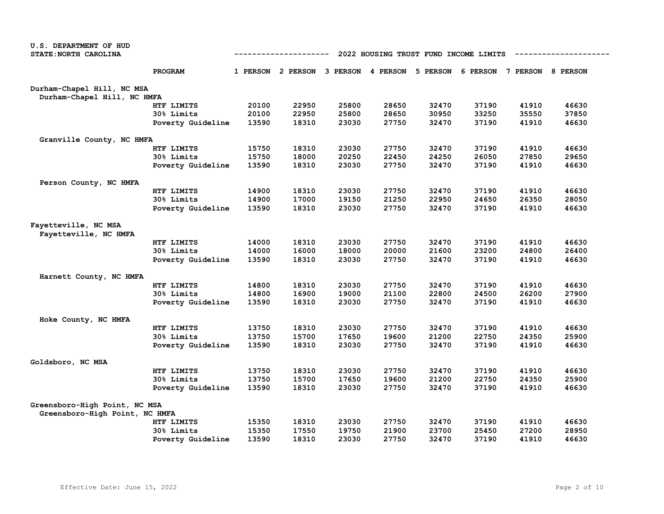| U.S. DEPARTMENT OF HUD                        |                   |                                                      |                            |       |          |          |       |                            |       |  |  |
|-----------------------------------------------|-------------------|------------------------------------------------------|----------------------------|-------|----------|----------|-------|----------------------------|-------|--|--|
| STATE: NORTH CAROLINA                         |                   | 2022 HOUSING TRUST FUND INCOME LIMITS<br>----------- |                            |       |          |          |       |                            |       |  |  |
|                                               | PROGRAM           |                                                      | 1 PERSON 2 PERSON 3 PERSON |       | 4 PERSON | 5 PERSON |       | 6 PERSON 7 PERSON 8 PERSON |       |  |  |
| Durham-Chapel Hill, NC MSA                    |                   |                                                      |                            |       |          |          |       |                            |       |  |  |
| Durham-Chapel Hill, NC HMFA                   |                   |                                                      |                            |       |          |          |       |                            |       |  |  |
|                                               | HTF LIMITS        | 20100                                                | 22950                      | 25800 | 28650    | 32470    | 37190 | 41910                      | 46630 |  |  |
|                                               | 30% Limits        | 20100                                                | 22950                      | 25800 | 28650    | 30950    | 33250 | 35550                      | 37850 |  |  |
|                                               | Poverty Guideline | 13590                                                | 18310                      | 23030 | 27750    | 32470    | 37190 | 41910                      | 46630 |  |  |
| Granville County, NC HMFA                     |                   |                                                      |                            |       |          |          |       |                            |       |  |  |
|                                               | HTF LIMITS        | 15750                                                | 18310                      | 23030 | 27750    | 32470    | 37190 | 41910                      | 46630 |  |  |
|                                               | 30% Limits        | 15750                                                | 18000                      | 20250 | 22450    | 24250    | 26050 | 27850                      | 29650 |  |  |
|                                               | Poverty Guideline | 13590                                                | 18310                      | 23030 | 27750    | 32470    | 37190 | 41910                      | 46630 |  |  |
| Person County, NC HMFA                        |                   |                                                      |                            |       |          |          |       |                            |       |  |  |
|                                               | HTF LIMITS        | 14900                                                | 18310                      | 23030 | 27750    | 32470    | 37190 | 41910                      | 46630 |  |  |
|                                               | 30% Limits        | 14900                                                | 17000                      | 19150 | 21250    | 22950    | 24650 | 26350                      | 28050 |  |  |
|                                               | Poverty Guideline | 13590                                                | 18310                      | 23030 | 27750    | 32470    | 37190 | 41910                      | 46630 |  |  |
| Fayetteville, NC MSA<br>Fayetteville, NC HMFA |                   |                                                      |                            |       |          |          |       |                            |       |  |  |
|                                               | HTF LIMITS        | 14000                                                | 18310                      | 23030 | 27750    | 32470    | 37190 | 41910                      | 46630 |  |  |
|                                               | 30% Limits        | 14000                                                | 16000                      | 18000 | 20000    | 21600    | 23200 | 24800                      | 26400 |  |  |
|                                               | Poverty Guideline | 13590                                                | 18310                      | 23030 | 27750    | 32470    | 37190 | 41910                      | 46630 |  |  |
| Harnett County, NC HMFA                       |                   |                                                      |                            |       |          |          |       |                            |       |  |  |
|                                               | HTF LIMITS        | 14800                                                | 18310                      | 23030 | 27750    | 32470    | 37190 | 41910                      | 46630 |  |  |
|                                               | 30% Limits        | 14800                                                | 16900                      | 19000 | 21100    | 22800    | 24500 | 26200                      | 27900 |  |  |
|                                               | Poverty Guideline | 13590                                                | 18310                      | 23030 | 27750    | 32470    | 37190 | 41910                      | 46630 |  |  |
| Hoke County, NC HMFA                          |                   |                                                      |                            |       |          |          |       |                            |       |  |  |
|                                               | HTF LIMITS        | 13750                                                | 18310                      | 23030 | 27750    | 32470    | 37190 | 41910                      | 46630 |  |  |
|                                               | 30% Limits        | 13750                                                | 15700                      | 17650 | 19600    | 21200    | 22750 | 24350                      | 25900 |  |  |
|                                               | Poverty Guideline | 13590                                                | 18310                      | 23030 | 27750    | 32470    | 37190 | 41910                      | 46630 |  |  |
| Goldsboro, NC MSA                             |                   |                                                      |                            |       |          |          |       |                            |       |  |  |
|                                               | HTF LIMITS        | 13750                                                | 18310                      | 23030 | 27750    | 32470    | 37190 | 41910                      | 46630 |  |  |
|                                               | 30% Limits        | 13750                                                | 15700                      | 17650 | 19600    | 21200    | 22750 | 24350                      | 25900 |  |  |
|                                               | Poverty Guideline | 13590                                                | 18310                      | 23030 | 27750    | 32470    | 37190 | 41910                      | 46630 |  |  |
| Greensboro-High Point, NC MSA                 |                   |                                                      |                            |       |          |          |       |                            |       |  |  |
| Greensboro-High Point, NC HMFA                |                   |                                                      |                            |       |          |          |       |                            |       |  |  |
|                                               | HTF LIMITS        | 15350                                                | 18310                      | 23030 | 27750    | 32470    | 37190 | 41910                      | 46630 |  |  |
|                                               | 30% Limits        | 15350                                                | 17550                      | 19750 | 21900    | 23700    | 25450 | 27200                      | 28950 |  |  |
|                                               | Poverty Guideline | 13590                                                | 18310                      | 23030 | 27750    | 32470    | 37190 | 41910                      | 46630 |  |  |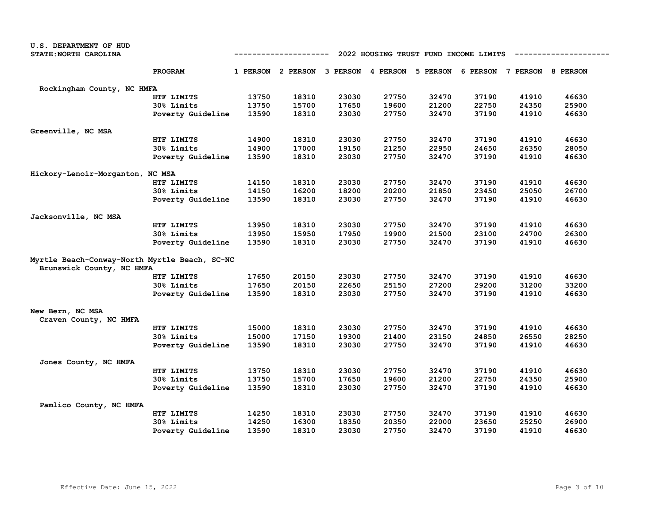| U.S. DEPARTMENT OF HUD                        |                                                      |       |                                                                         |       |       |       |       |       |       |  |  |
|-----------------------------------------------|------------------------------------------------------|-------|-------------------------------------------------------------------------|-------|-------|-------|-------|-------|-------|--|--|
| STATE: NORTH CAROLINA                         | -----------<br>2022 HOUSING TRUST FUND INCOME LIMITS |       |                                                                         |       |       |       |       |       |       |  |  |
|                                               | PROGRAM                                              |       | 1 PERSON 2 PERSON 3 PERSON 4 PERSON 5 PERSON 6 PERSON 7 PERSON 8 PERSON |       |       |       |       |       |       |  |  |
| Rockingham County, NC HMFA                    |                                                      |       |                                                                         |       |       |       |       |       |       |  |  |
|                                               | HTF LIMITS                                           | 13750 | 18310                                                                   | 23030 | 27750 | 32470 | 37190 | 41910 | 46630 |  |  |
|                                               | 30% Limits                                           | 13750 | 15700                                                                   | 17650 | 19600 | 21200 | 22750 | 24350 | 25900 |  |  |
|                                               | Poverty Guideline                                    | 13590 | 18310                                                                   | 23030 | 27750 | 32470 | 37190 | 41910 | 46630 |  |  |
| Greenville, NC MSA                            |                                                      |       |                                                                         |       |       |       |       |       |       |  |  |
|                                               | HTF LIMITS                                           | 14900 | 18310                                                                   | 23030 | 27750 | 32470 | 37190 | 41910 | 46630 |  |  |
|                                               | 30% Limits                                           | 14900 | 17000                                                                   | 19150 | 21250 | 22950 | 24650 | 26350 | 28050 |  |  |
|                                               | Poverty Guideline                                    | 13590 | 18310                                                                   | 23030 | 27750 | 32470 | 37190 | 41910 | 46630 |  |  |
| Hickory-Lenoir-Morganton, NC MSA              |                                                      |       |                                                                         |       |       |       |       |       |       |  |  |
|                                               | HTF LIMITS                                           | 14150 | 18310                                                                   | 23030 | 27750 | 32470 | 37190 | 41910 | 46630 |  |  |
|                                               | 30% Limits                                           | 14150 | 16200                                                                   | 18200 | 20200 | 21850 | 23450 | 25050 | 26700 |  |  |
|                                               | Poverty Guideline                                    | 13590 | 18310                                                                   | 23030 | 27750 | 32470 | 37190 | 41910 | 46630 |  |  |
| Jacksonville, NC MSA                          |                                                      |       |                                                                         |       |       |       |       |       |       |  |  |
|                                               | HTF LIMITS                                           | 13950 | 18310                                                                   | 23030 | 27750 | 32470 | 37190 | 41910 | 46630 |  |  |
|                                               | 30% Limits                                           | 13950 | 15950                                                                   | 17950 | 19900 | 21500 | 23100 | 24700 | 26300 |  |  |
|                                               | Poverty Guideline                                    | 13590 | 18310                                                                   | 23030 | 27750 | 32470 | 37190 | 41910 | 46630 |  |  |
| Myrtle Beach-Conway-North Myrtle Beach, SC-NC |                                                      |       |                                                                         |       |       |       |       |       |       |  |  |
| Brunswick County, NC HMFA                     |                                                      |       |                                                                         |       |       |       |       |       |       |  |  |
|                                               | HTF LIMITS                                           | 17650 | 20150                                                                   | 23030 | 27750 | 32470 | 37190 | 41910 | 46630 |  |  |
|                                               | 30% Limits                                           | 17650 | 20150                                                                   | 22650 | 25150 | 27200 | 29200 | 31200 | 33200 |  |  |
|                                               | Poverty Guideline                                    | 13590 | 18310                                                                   | 23030 | 27750 | 32470 | 37190 | 41910 | 46630 |  |  |
| New Bern, NC MSA                              |                                                      |       |                                                                         |       |       |       |       |       |       |  |  |
| Craven County, NC HMFA                        |                                                      |       |                                                                         |       |       |       |       |       |       |  |  |
|                                               | HTF LIMITS                                           | 15000 | 18310                                                                   | 23030 | 27750 | 32470 | 37190 | 41910 | 46630 |  |  |
|                                               | 30% Limits                                           | 15000 | 17150                                                                   | 19300 | 21400 | 23150 | 24850 | 26550 | 28250 |  |  |
|                                               | Poverty Guideline                                    | 13590 | 18310                                                                   | 23030 | 27750 | 32470 | 37190 | 41910 | 46630 |  |  |
| Jones County, NC HMFA                         |                                                      |       |                                                                         |       |       |       |       |       |       |  |  |
|                                               | HTF LIMITS                                           | 13750 | 18310                                                                   | 23030 | 27750 | 32470 | 37190 | 41910 | 46630 |  |  |
|                                               | 30% Limits                                           | 13750 | 15700                                                                   | 17650 | 19600 | 21200 | 22750 | 24350 | 25900 |  |  |
|                                               | Poverty Guideline                                    | 13590 | 18310                                                                   | 23030 | 27750 | 32470 | 37190 | 41910 | 46630 |  |  |
| Pamlico County, NC HMFA                       |                                                      |       |                                                                         |       |       |       |       |       |       |  |  |
|                                               | HTF LIMITS                                           | 14250 | 18310                                                                   | 23030 | 27750 | 32470 | 37190 | 41910 | 46630 |  |  |
|                                               | 30% Limits                                           | 14250 | 16300                                                                   | 18350 | 20350 | 22000 | 23650 | 25250 | 26900 |  |  |
|                                               | Poverty Guideline                                    | 13590 | 18310                                                                   | 23030 | 27750 | 32470 | 37190 | 41910 | 46630 |  |  |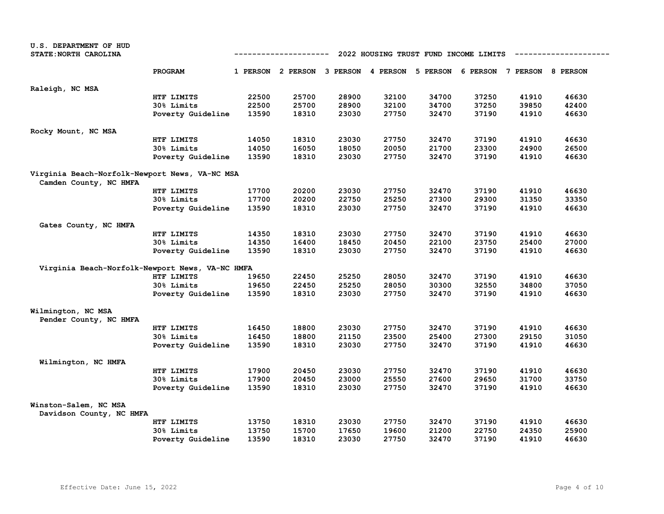| U.S. DEPARTMENT OF HUD                            |                   |       |                                                                         |       |       |                                       |       |       |       |
|---------------------------------------------------|-------------------|-------|-------------------------------------------------------------------------|-------|-------|---------------------------------------|-------|-------|-------|
| STATE: NORTH CAROLINA                             |                   |       | ----------                                                              |       |       | 2022 HOUSING TRUST FUND INCOME LIMITS |       |       |       |
|                                                   | <b>PROGRAM</b>    |       | 1 PERSON 2 PERSON 3 PERSON 4 PERSON 5 PERSON 6 PERSON 7 PERSON 8 PERSON |       |       |                                       |       |       |       |
| Raleigh, NC MSA                                   |                   |       |                                                                         |       |       |                                       |       |       |       |
|                                                   | HTF LIMITS        | 22500 | 25700                                                                   | 28900 | 32100 | 34700                                 | 37250 | 41910 | 46630 |
|                                                   | 30% Limits        | 22500 | 25700                                                                   | 28900 | 32100 | 34700                                 | 37250 | 39850 | 42400 |
|                                                   | Poverty Guideline | 13590 | 18310                                                                   | 23030 | 27750 | 32470                                 | 37190 | 41910 | 46630 |
| Rocky Mount, NC MSA                               |                   |       |                                                                         |       |       |                                       |       |       |       |
|                                                   | HTF LIMITS        | 14050 | 18310                                                                   | 23030 | 27750 | 32470                                 | 37190 | 41910 | 46630 |
|                                                   | 30% Limits        | 14050 | 16050                                                                   | 18050 | 20050 | 21700                                 | 23300 | 24900 | 26500 |
|                                                   | Poverty Guideline | 13590 | 18310                                                                   | 23030 | 27750 | 32470                                 | 37190 | 41910 | 46630 |
| Virginia Beach-Norfolk-Newport News, VA-NC MSA    |                   |       |                                                                         |       |       |                                       |       |       |       |
| Camden County, NC HMFA                            |                   |       |                                                                         |       |       |                                       |       |       |       |
|                                                   | HTF LIMITS        | 17700 | 20200                                                                   | 23030 | 27750 | 32470                                 | 37190 | 41910 | 46630 |
|                                                   | <b>30% Limits</b> | 17700 | 20200                                                                   | 22750 | 25250 | 27300                                 | 29300 | 31350 | 33350 |
|                                                   | Poverty Guideline | 13590 | 18310                                                                   | 23030 | 27750 | 32470                                 | 37190 | 41910 | 46630 |
| Gates County, NC HMFA                             |                   |       |                                                                         |       |       |                                       |       |       |       |
|                                                   | HTF LIMITS        | 14350 | 18310                                                                   | 23030 | 27750 | 32470                                 | 37190 | 41910 | 46630 |
|                                                   | 30% Limits        | 14350 | 16400                                                                   | 18450 | 20450 | 22100                                 | 23750 | 25400 | 27000 |
|                                                   | Poverty Guideline | 13590 | 18310                                                                   | 23030 | 27750 | 32470                                 | 37190 | 41910 | 46630 |
| Virginia Beach-Norfolk-Newport News, VA-NC HMFA   |                   |       |                                                                         |       |       |                                       |       |       |       |
|                                                   | HTF LIMITS        | 19650 | 22450                                                                   | 25250 | 28050 | 32470                                 | 37190 | 41910 | 46630 |
|                                                   | <b>30% Limits</b> | 19650 | 22450                                                                   | 25250 | 28050 | 30300                                 | 32550 | 34800 | 37050 |
|                                                   | Poverty Guideline | 13590 | 18310                                                                   | 23030 | 27750 | 32470                                 | 37190 | 41910 | 46630 |
| Wilmington, NC MSA<br>Pender County, NC HMFA      |                   |       |                                                                         |       |       |                                       |       |       |       |
|                                                   | HTF LIMITS        | 16450 | 18800                                                                   | 23030 | 27750 | 32470                                 | 37190 | 41910 | 46630 |
|                                                   | 30% Limits        | 16450 | 18800                                                                   | 21150 | 23500 | 25400                                 | 27300 | 29150 | 31050 |
|                                                   | Poverty Guideline | 13590 | 18310                                                                   | 23030 | 27750 | 32470                                 | 37190 | 41910 | 46630 |
| Wilmington, NC HMFA                               |                   |       |                                                                         |       |       |                                       |       |       |       |
|                                                   | HTF LIMITS        | 17900 | 20450                                                                   | 23030 | 27750 | 32470                                 | 37190 | 41910 | 46630 |
|                                                   | 30% Limits        | 17900 | 20450                                                                   | 23000 | 25550 | 27600                                 | 29650 | 31700 | 33750 |
|                                                   | Poverty Guideline | 13590 | 18310                                                                   | 23030 | 27750 | 32470                                 | 37190 | 41910 | 46630 |
| Winston-Salem, NC MSA<br>Davidson County, NC HMFA |                   |       |                                                                         |       |       |                                       |       |       |       |
|                                                   | HTF LIMITS        | 13750 | 18310                                                                   | 23030 | 27750 | 32470                                 | 37190 | 41910 | 46630 |
|                                                   | <b>30% Limits</b> | 13750 | 15700                                                                   | 17650 | 19600 | 21200                                 | 22750 | 24350 | 25900 |
|                                                   | Poverty Guideline | 13590 | 18310                                                                   | 23030 | 27750 | 32470                                 | 37190 | 41910 | 46630 |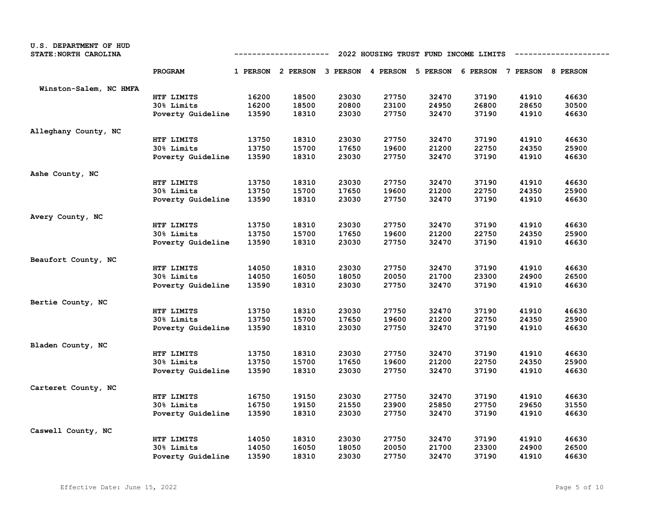| U.S. DEPARTMENT OF HUD |                                                                                                                                                        |       |       |       |       |       |       |       |       |  |  |
|------------------------|--------------------------------------------------------------------------------------------------------------------------------------------------------|-------|-------|-------|-------|-------|-------|-------|-------|--|--|
| STATE: NORTH CAROLINA  | 2022 HOUSING TRUST FUND INCOME LIMITS<br>-----------------<br>----------<br>1 PERSON 2 PERSON 3 PERSON 4 PERSON<br>5 PERSON 6 PERSON 7 PERSON 8 PERSON |       |       |       |       |       |       |       |       |  |  |
|                        | PROGRAM                                                                                                                                                |       |       |       |       |       |       |       |       |  |  |
| Winston-Salem, NC HMFA |                                                                                                                                                        |       |       |       |       |       |       |       |       |  |  |
|                        | HTF LIMITS                                                                                                                                             | 16200 | 18500 | 23030 | 27750 | 32470 | 37190 | 41910 | 46630 |  |  |
|                        | 30% Limits                                                                                                                                             | 16200 | 18500 | 20800 | 23100 | 24950 | 26800 | 28650 | 30500 |  |  |
|                        | Poverty Guideline                                                                                                                                      | 13590 | 18310 | 23030 | 27750 | 32470 | 37190 | 41910 | 46630 |  |  |
| Alleghany County, NC   |                                                                                                                                                        |       |       |       |       |       |       |       |       |  |  |
|                        | HTF LIMITS                                                                                                                                             | 13750 | 18310 | 23030 | 27750 | 32470 | 37190 | 41910 | 46630 |  |  |
|                        | 30% Limits                                                                                                                                             | 13750 | 15700 | 17650 | 19600 | 21200 | 22750 | 24350 | 25900 |  |  |
|                        | Poverty Guideline                                                                                                                                      | 13590 | 18310 | 23030 | 27750 | 32470 | 37190 | 41910 | 46630 |  |  |
| Ashe County, NC        |                                                                                                                                                        |       |       |       |       |       |       |       |       |  |  |
|                        | HTF LIMITS                                                                                                                                             | 13750 | 18310 | 23030 | 27750 | 32470 | 37190 | 41910 | 46630 |  |  |
|                        | 30% Limits                                                                                                                                             | 13750 | 15700 | 17650 | 19600 | 21200 | 22750 | 24350 | 25900 |  |  |
|                        | Poverty Guideline                                                                                                                                      | 13590 | 18310 | 23030 | 27750 | 32470 | 37190 | 41910 | 46630 |  |  |
| Avery County, NC       |                                                                                                                                                        |       |       |       |       |       |       |       |       |  |  |
|                        | HTF LIMITS                                                                                                                                             | 13750 | 18310 | 23030 | 27750 | 32470 | 37190 | 41910 | 46630 |  |  |
|                        | 30% Limits                                                                                                                                             | 13750 | 15700 | 17650 | 19600 | 21200 | 22750 | 24350 | 25900 |  |  |
|                        | Poverty Guideline                                                                                                                                      | 13590 | 18310 | 23030 | 27750 | 32470 | 37190 | 41910 | 46630 |  |  |
| Beaufort County, NC    |                                                                                                                                                        |       |       |       |       |       |       |       |       |  |  |
|                        | HTF LIMITS                                                                                                                                             | 14050 | 18310 | 23030 | 27750 | 32470 | 37190 | 41910 | 46630 |  |  |
|                        | 30% Limits                                                                                                                                             | 14050 | 16050 | 18050 | 20050 | 21700 | 23300 | 24900 | 26500 |  |  |
|                        | Poverty Guideline                                                                                                                                      | 13590 | 18310 | 23030 | 27750 | 32470 | 37190 | 41910 | 46630 |  |  |
| Bertie County, NC      |                                                                                                                                                        |       |       |       |       |       |       |       |       |  |  |
|                        | HTF LIMITS                                                                                                                                             | 13750 | 18310 | 23030 | 27750 | 32470 | 37190 | 41910 | 46630 |  |  |
|                        | 30% Limits                                                                                                                                             | 13750 | 15700 | 17650 | 19600 | 21200 | 22750 | 24350 | 25900 |  |  |
|                        | Poverty Guideline                                                                                                                                      | 13590 | 18310 | 23030 | 27750 | 32470 | 37190 | 41910 | 46630 |  |  |
| Bladen County, NC      |                                                                                                                                                        |       |       |       |       |       |       |       |       |  |  |
|                        | HTF LIMITS                                                                                                                                             | 13750 | 18310 | 23030 | 27750 | 32470 | 37190 | 41910 | 46630 |  |  |
|                        | 30% Limits                                                                                                                                             | 13750 | 15700 | 17650 | 19600 | 21200 | 22750 | 24350 | 25900 |  |  |
|                        | Poverty Guideline                                                                                                                                      | 13590 | 18310 | 23030 | 27750 | 32470 | 37190 | 41910 | 46630 |  |  |
| Carteret County, NC    |                                                                                                                                                        |       |       |       |       |       |       |       |       |  |  |
|                        | HTF LIMITS                                                                                                                                             | 16750 | 19150 | 23030 | 27750 | 32470 | 37190 | 41910 | 46630 |  |  |
|                        | 30% Limits                                                                                                                                             | 16750 | 19150 | 21550 | 23900 | 25850 | 27750 | 29650 | 31550 |  |  |
|                        | Poverty Guideline                                                                                                                                      | 13590 | 18310 | 23030 | 27750 | 32470 | 37190 | 41910 | 46630 |  |  |
| Caswell County, NC     |                                                                                                                                                        |       |       |       |       |       |       |       |       |  |  |
|                        | HTF LIMITS                                                                                                                                             | 14050 | 18310 | 23030 | 27750 | 32470 | 37190 | 41910 | 46630 |  |  |
|                        | 30% Limits                                                                                                                                             | 14050 | 16050 | 18050 | 20050 | 21700 | 23300 | 24900 | 26500 |  |  |
|                        | Poverty Guideline                                                                                                                                      | 13590 | 18310 | 23030 | 27750 | 32470 | 37190 | 41910 | 46630 |  |  |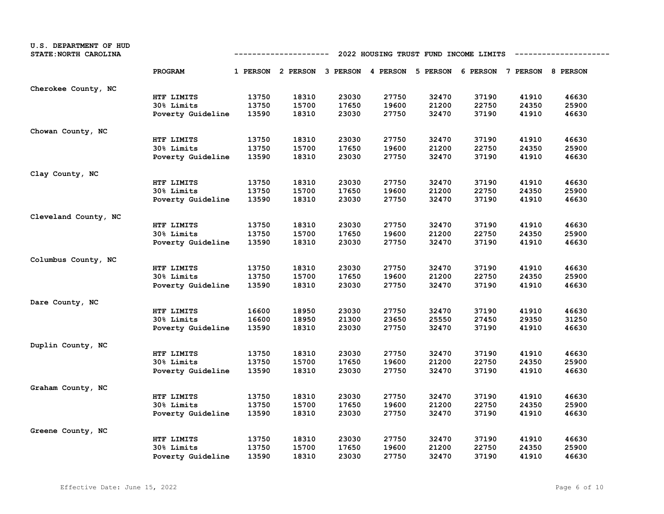| U.S. DEPARTMENT OF HUD<br>STATE: NORTH CAROLINA |                   | 2022 HOUSING TRUST FUND INCOME LIMITS<br>----------- |                                                                         |       |       |       |       |       |       |  |
|-------------------------------------------------|-------------------|------------------------------------------------------|-------------------------------------------------------------------------|-------|-------|-------|-------|-------|-------|--|
|                                                 | PROGRAM           |                                                      | 1 PERSON 2 PERSON 3 PERSON 4 PERSON 5 PERSON 6 PERSON 7 PERSON 8 PERSON |       |       |       |       |       |       |  |
| Cherokee County, NC                             |                   |                                                      |                                                                         |       |       |       |       |       |       |  |
|                                                 | HTF LIMITS        | 13750                                                | 18310                                                                   | 23030 | 27750 | 32470 | 37190 | 41910 | 46630 |  |
|                                                 | 30% Limits        | 13750                                                | 15700                                                                   | 17650 | 19600 | 21200 | 22750 | 24350 | 25900 |  |
|                                                 | Poverty Guideline | 13590                                                | 18310                                                                   | 23030 | 27750 | 32470 | 37190 | 41910 | 46630 |  |
| Chowan County, NC                               |                   |                                                      |                                                                         |       |       |       |       |       |       |  |
|                                                 | HTF LIMITS        | 13750                                                | 18310                                                                   | 23030 | 27750 | 32470 | 37190 | 41910 | 46630 |  |
|                                                 | 30% Limits        | 13750                                                | 15700                                                                   | 17650 | 19600 | 21200 | 22750 | 24350 | 25900 |  |
|                                                 | Poverty Guideline | 13590                                                | 18310                                                                   | 23030 | 27750 | 32470 | 37190 | 41910 | 46630 |  |
| Clay County, NC                                 |                   |                                                      |                                                                         |       |       |       |       |       |       |  |
|                                                 | HTF LIMITS        | 13750                                                | 18310                                                                   | 23030 | 27750 | 32470 | 37190 | 41910 | 46630 |  |
|                                                 | 30% Limits        | 13750                                                | 15700                                                                   | 17650 | 19600 | 21200 | 22750 | 24350 | 25900 |  |
|                                                 | Poverty Guideline | 13590                                                | 18310                                                                   | 23030 | 27750 | 32470 | 37190 | 41910 | 46630 |  |
| Cleveland County, NC                            |                   |                                                      |                                                                         |       |       |       |       |       |       |  |
|                                                 | HTF LIMITS        | 13750                                                | 18310                                                                   | 23030 | 27750 | 32470 | 37190 | 41910 | 46630 |  |
|                                                 | 30% Limits        | 13750                                                | 15700                                                                   | 17650 | 19600 | 21200 | 22750 | 24350 | 25900 |  |
|                                                 | Poverty Guideline | 13590                                                | 18310                                                                   | 23030 | 27750 | 32470 | 37190 | 41910 | 46630 |  |
| Columbus County, NC                             |                   |                                                      |                                                                         |       |       |       |       |       |       |  |
|                                                 | HTF LIMITS        | 13750                                                | 18310                                                                   | 23030 | 27750 | 32470 | 37190 | 41910 | 46630 |  |
|                                                 | 30% Limits        | 13750                                                | 15700                                                                   | 17650 | 19600 | 21200 | 22750 | 24350 | 25900 |  |
|                                                 | Poverty Guideline | 13590                                                | 18310                                                                   | 23030 | 27750 | 32470 | 37190 | 41910 | 46630 |  |
| Dare County, NC                                 |                   |                                                      |                                                                         |       |       |       |       |       |       |  |
|                                                 | HTF LIMITS        | 16600                                                | 18950                                                                   | 23030 | 27750 | 32470 | 37190 | 41910 | 46630 |  |
|                                                 | 30% Limits        | 16600                                                | 18950                                                                   | 21300 | 23650 | 25550 | 27450 | 29350 | 31250 |  |
|                                                 | Poverty Guideline | 13590                                                | 18310                                                                   | 23030 | 27750 | 32470 | 37190 | 41910 | 46630 |  |
| Duplin County, NC                               |                   |                                                      |                                                                         |       |       |       |       |       |       |  |
|                                                 | HTF LIMITS        | 13750                                                | 18310                                                                   | 23030 | 27750 | 32470 | 37190 | 41910 | 46630 |  |
|                                                 | 30% Limits        | 13750                                                | 15700                                                                   | 17650 | 19600 | 21200 | 22750 | 24350 | 25900 |  |
|                                                 | Poverty Guideline | 13590                                                | 18310                                                                   | 23030 | 27750 | 32470 | 37190 | 41910 | 46630 |  |
| Graham County, NC                               |                   |                                                      |                                                                         |       |       |       |       |       |       |  |
|                                                 | HTF LIMITS        | 13750                                                | 18310                                                                   | 23030 | 27750 | 32470 | 37190 | 41910 | 46630 |  |
|                                                 | 30% Limits        | 13750                                                | 15700                                                                   | 17650 | 19600 | 21200 | 22750 | 24350 | 25900 |  |
|                                                 | Poverty Guideline | 13590                                                | 18310                                                                   | 23030 | 27750 | 32470 | 37190 | 41910 | 46630 |  |
| Greene County, NC                               |                   |                                                      |                                                                         |       |       |       |       |       |       |  |
|                                                 | HTF LIMITS        | 13750                                                | 18310                                                                   | 23030 | 27750 | 32470 | 37190 | 41910 | 46630 |  |
|                                                 | 30% Limits        | 13750                                                | 15700                                                                   | 17650 | 19600 | 21200 | 22750 | 24350 | 25900 |  |
|                                                 | Poverty Guideline | 13590                                                | 18310                                                                   | 23030 | 27750 | 32470 | 37190 | 41910 | 46630 |  |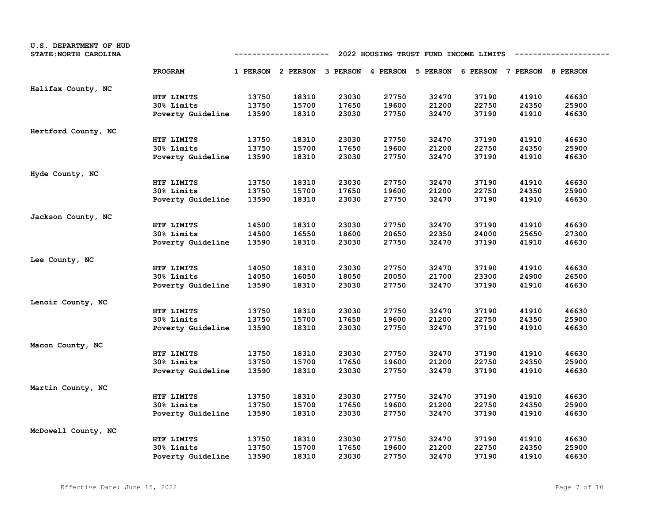| U.S. DEPARTMENT OF HUD<br>STATE: NORTH CAROLINA |                   | 2022 HOUSING TRUST FUND INCOME LIMITS<br>----------- |                                                                         |       |       |       |       |       |       |  |
|-------------------------------------------------|-------------------|------------------------------------------------------|-------------------------------------------------------------------------|-------|-------|-------|-------|-------|-------|--|
|                                                 | PROGRAM           |                                                      | 1 PERSON 2 PERSON 3 PERSON 4 PERSON 5 PERSON 6 PERSON 7 PERSON 8 PERSON |       |       |       |       |       |       |  |
| Halifax County, NC                              |                   |                                                      |                                                                         |       |       |       |       |       |       |  |
|                                                 | HTF LIMITS        | 13750                                                | 18310                                                                   | 23030 | 27750 | 32470 | 37190 | 41910 | 46630 |  |
|                                                 | 30% Limits        | 13750                                                | 15700                                                                   | 17650 | 19600 | 21200 | 22750 | 24350 | 25900 |  |
|                                                 | Poverty Guideline | 13590                                                | 18310                                                                   | 23030 | 27750 | 32470 | 37190 | 41910 | 46630 |  |
| Hertford County, NC                             |                   |                                                      |                                                                         |       |       |       |       |       |       |  |
|                                                 | HTF LIMITS        | 13750                                                | 18310                                                                   | 23030 | 27750 | 32470 | 37190 | 41910 | 46630 |  |
|                                                 | 30% Limits        | 13750                                                | 15700                                                                   | 17650 | 19600 | 21200 | 22750 | 24350 | 25900 |  |
|                                                 | Poverty Guideline | 13590                                                | 18310                                                                   | 23030 | 27750 | 32470 | 37190 | 41910 | 46630 |  |
| Hyde County, NC                                 |                   |                                                      |                                                                         |       |       |       |       |       |       |  |
|                                                 | HTF LIMITS        | 13750                                                | 18310                                                                   | 23030 | 27750 | 32470 | 37190 | 41910 | 46630 |  |
|                                                 | 30% Limits        | 13750                                                | 15700                                                                   | 17650 | 19600 | 21200 | 22750 | 24350 | 25900 |  |
|                                                 | Poverty Guideline | 13590                                                | 18310                                                                   | 23030 | 27750 | 32470 | 37190 | 41910 | 46630 |  |
| Jackson County, NC                              |                   |                                                      |                                                                         |       |       |       |       |       |       |  |
|                                                 | HTF LIMITS        | 14500                                                | 18310                                                                   | 23030 | 27750 | 32470 | 37190 | 41910 | 46630 |  |
|                                                 | 30% Limits        | 14500                                                | 16550                                                                   | 18600 | 20650 | 22350 | 24000 | 25650 | 27300 |  |
|                                                 | Poverty Guideline | 13590                                                | 18310                                                                   | 23030 | 27750 | 32470 | 37190 | 41910 | 46630 |  |
| Lee County, NC                                  |                   |                                                      |                                                                         |       |       |       |       |       |       |  |
|                                                 | HTF LIMITS        | 14050                                                | 18310                                                                   | 23030 | 27750 | 32470 | 37190 | 41910 | 46630 |  |
|                                                 | 30% Limits        | 14050                                                | 16050                                                                   | 18050 | 20050 | 21700 | 23300 | 24900 | 26500 |  |
|                                                 | Poverty Guideline | 13590                                                | 18310                                                                   | 23030 | 27750 | 32470 | 37190 | 41910 | 46630 |  |
| Lenoir County, NC                               |                   |                                                      |                                                                         |       |       |       |       |       |       |  |
|                                                 | HTF LIMITS        | 13750                                                | 18310                                                                   | 23030 | 27750 | 32470 | 37190 | 41910 | 46630 |  |
|                                                 | 30% Limits        | 13750                                                | 15700                                                                   | 17650 | 19600 | 21200 | 22750 | 24350 | 25900 |  |
|                                                 | Poverty Guideline | 13590                                                | 18310                                                                   | 23030 | 27750 | 32470 | 37190 | 41910 | 46630 |  |
| Macon County, NC                                |                   |                                                      |                                                                         |       |       |       |       |       |       |  |
|                                                 | HTF LIMITS        | 13750                                                | 18310                                                                   | 23030 | 27750 | 32470 | 37190 | 41910 | 46630 |  |
|                                                 | 30% Limits        | 13750                                                | 15700                                                                   | 17650 | 19600 | 21200 | 22750 | 24350 | 25900 |  |
|                                                 | Poverty Guideline | 13590                                                | 18310                                                                   | 23030 | 27750 | 32470 | 37190 | 41910 | 46630 |  |
| Martin County, NC                               |                   |                                                      |                                                                         |       |       |       |       |       |       |  |
|                                                 | HTF LIMITS        | 13750                                                | 18310                                                                   | 23030 | 27750 | 32470 | 37190 | 41910 | 46630 |  |
|                                                 | 30% Limits        | 13750                                                | 15700                                                                   | 17650 | 19600 | 21200 | 22750 | 24350 | 25900 |  |
|                                                 | Poverty Guideline | 13590                                                | 18310                                                                   | 23030 | 27750 | 32470 | 37190 | 41910 | 46630 |  |
| McDowell County, NC                             |                   |                                                      |                                                                         |       |       |       |       |       |       |  |
|                                                 | HTF LIMITS        | 13750                                                | 18310                                                                   | 23030 | 27750 | 32470 | 37190 | 41910 | 46630 |  |
|                                                 | 30% Limits        | 13750                                                | 15700                                                                   | 17650 | 19600 | 21200 | 22750 | 24350 | 25900 |  |
|                                                 | Poverty Guideline | 13590                                                | 18310                                                                   | 23030 | 27750 | 32470 | 37190 | 41910 | 46630 |  |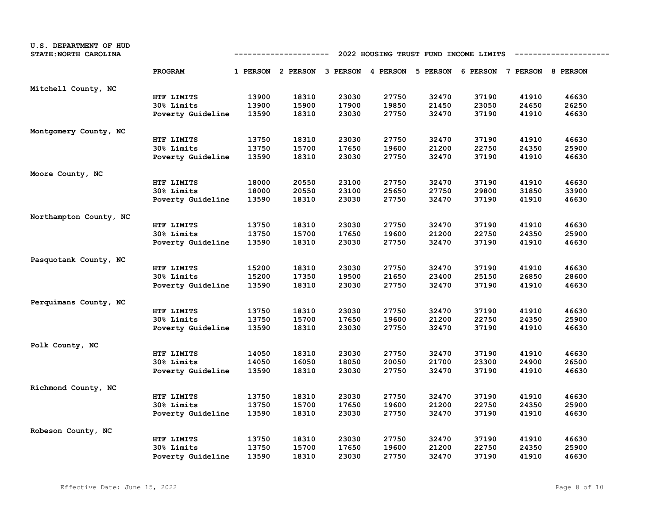| U.S. DEPARTMENT OF HUD<br>STATE: NORTH CAROLINA |                   | 2022 HOUSING TRUST FUND INCOME LIMITS<br>---------- |                                                                         |       |       |       |       |       |       |  |
|-------------------------------------------------|-------------------|-----------------------------------------------------|-------------------------------------------------------------------------|-------|-------|-------|-------|-------|-------|--|
|                                                 | PROGRAM           |                                                     | 1 PERSON 2 PERSON 3 PERSON 4 PERSON 5 PERSON 6 PERSON 7 PERSON 8 PERSON |       |       |       |       |       |       |  |
| Mitchell County, NC                             |                   |                                                     |                                                                         |       |       |       |       |       |       |  |
|                                                 | HTF LIMITS        | 13900                                               | 18310                                                                   | 23030 | 27750 | 32470 | 37190 | 41910 | 46630 |  |
|                                                 | 30% Limits        | 13900                                               | 15900                                                                   | 17900 | 19850 | 21450 | 23050 | 24650 | 26250 |  |
|                                                 | Poverty Guideline | 13590                                               | 18310                                                                   | 23030 | 27750 | 32470 | 37190 | 41910 | 46630 |  |
| Montgomery County, NC                           |                   |                                                     |                                                                         |       |       |       |       |       |       |  |
|                                                 | HTF LIMITS        | 13750                                               | 18310                                                                   | 23030 | 27750 | 32470 | 37190 | 41910 | 46630 |  |
|                                                 | 30% Limits        | 13750                                               | 15700                                                                   | 17650 | 19600 | 21200 | 22750 | 24350 | 25900 |  |
|                                                 | Poverty Guideline | 13590                                               | 18310                                                                   | 23030 | 27750 | 32470 | 37190 | 41910 | 46630 |  |
| Moore County, NC                                |                   |                                                     |                                                                         |       |       |       |       |       |       |  |
|                                                 | HTF LIMITS        | 18000                                               | 20550                                                                   | 23100 | 27750 | 32470 | 37190 | 41910 | 46630 |  |
|                                                 | 30% Limits        | 18000                                               | 20550                                                                   | 23100 | 25650 | 27750 | 29800 | 31850 | 33900 |  |
|                                                 | Poverty Guideline | 13590                                               | 18310                                                                   | 23030 | 27750 | 32470 | 37190 | 41910 | 46630 |  |
| Northampton County, NC                          |                   |                                                     |                                                                         |       |       |       |       |       |       |  |
|                                                 | HTF LIMITS        | 13750                                               | 18310                                                                   | 23030 | 27750 | 32470 | 37190 | 41910 | 46630 |  |
|                                                 | 30% Limits        | 13750                                               | 15700                                                                   | 17650 | 19600 | 21200 | 22750 | 24350 | 25900 |  |
|                                                 | Poverty Guideline | 13590                                               | 18310                                                                   | 23030 | 27750 | 32470 | 37190 | 41910 | 46630 |  |
| Pasquotank County, NC                           |                   |                                                     |                                                                         |       |       |       |       |       |       |  |
|                                                 | HTF LIMITS        | 15200                                               | 18310                                                                   | 23030 | 27750 | 32470 | 37190 | 41910 | 46630 |  |
|                                                 | 30% Limits        | 15200                                               | 17350                                                                   | 19500 | 21650 | 23400 | 25150 | 26850 | 28600 |  |
|                                                 | Poverty Guideline | 13590                                               | 18310                                                                   | 23030 | 27750 | 32470 | 37190 | 41910 | 46630 |  |
| Perquimans County, NC                           |                   |                                                     |                                                                         |       |       |       |       |       |       |  |
|                                                 | HTF LIMITS        | 13750                                               | 18310                                                                   | 23030 | 27750 | 32470 | 37190 | 41910 | 46630 |  |
|                                                 | 30% Limits        | 13750                                               | 15700                                                                   | 17650 | 19600 | 21200 | 22750 | 24350 | 25900 |  |
|                                                 | Poverty Guideline | 13590                                               | 18310                                                                   | 23030 | 27750 | 32470 | 37190 | 41910 | 46630 |  |
| Polk County, NC                                 |                   |                                                     |                                                                         |       |       |       |       |       |       |  |
|                                                 | HTF LIMITS        | 14050                                               | 18310                                                                   | 23030 | 27750 | 32470 | 37190 | 41910 | 46630 |  |
|                                                 | 30% Limits        | 14050                                               | 16050                                                                   | 18050 | 20050 | 21700 | 23300 | 24900 | 26500 |  |
|                                                 | Poverty Guideline | 13590                                               | 18310                                                                   | 23030 | 27750 | 32470 | 37190 | 41910 | 46630 |  |
| Richmond County, NC                             |                   |                                                     |                                                                         |       |       |       |       |       |       |  |
|                                                 | HTF LIMITS        | 13750                                               | 18310                                                                   | 23030 | 27750 | 32470 | 37190 | 41910 | 46630 |  |
|                                                 | 30% Limits        | 13750                                               | 15700                                                                   | 17650 | 19600 | 21200 | 22750 | 24350 | 25900 |  |
|                                                 | Poverty Guideline | 13590                                               | 18310                                                                   | 23030 | 27750 | 32470 | 37190 | 41910 | 46630 |  |
| Robeson County, NC                              |                   |                                                     |                                                                         |       |       |       |       |       |       |  |
|                                                 | HTF LIMITS        | 13750                                               | 18310                                                                   | 23030 | 27750 | 32470 | 37190 | 41910 | 46630 |  |
|                                                 | 30% Limits        | 13750                                               | 15700                                                                   | 17650 | 19600 | 21200 | 22750 | 24350 | 25900 |  |
|                                                 | Poverty Guideline | 13590                                               | 18310                                                                   | 23030 | 27750 | 32470 | 37190 | 41910 | 46630 |  |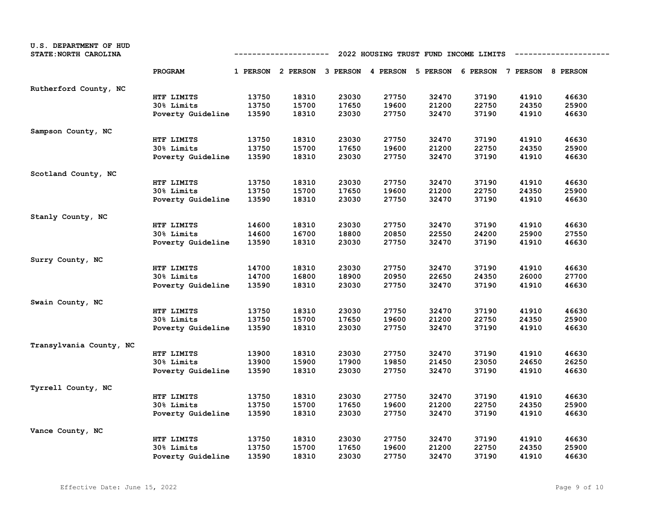| U.S. DEPARTMENT OF HUD<br>STATE: NORTH CAROLINA |                   | 2022 HOUSING TRUST FUND INCOME LIMITS<br>----------- |                                                                         |       |       |       |       |       |       |  |
|-------------------------------------------------|-------------------|------------------------------------------------------|-------------------------------------------------------------------------|-------|-------|-------|-------|-------|-------|--|
|                                                 | PROGRAM           |                                                      | 1 PERSON 2 PERSON 3 PERSON 4 PERSON 5 PERSON 6 PERSON 7 PERSON 8 PERSON |       |       |       |       |       |       |  |
| Rutherford County, NC                           |                   |                                                      |                                                                         |       |       |       |       |       |       |  |
|                                                 | HTF LIMITS        | 13750                                                | 18310                                                                   | 23030 | 27750 | 32470 | 37190 | 41910 | 46630 |  |
|                                                 | 30% Limits        | 13750                                                | 15700                                                                   | 17650 | 19600 | 21200 | 22750 | 24350 | 25900 |  |
|                                                 | Poverty Guideline | 13590                                                | 18310                                                                   | 23030 | 27750 | 32470 | 37190 | 41910 | 46630 |  |
| Sampson County, NC                              |                   |                                                      |                                                                         |       |       |       |       |       |       |  |
|                                                 | HTF LIMITS        | 13750                                                | 18310                                                                   | 23030 | 27750 | 32470 | 37190 | 41910 | 46630 |  |
|                                                 | 30% Limits        | 13750                                                | 15700                                                                   | 17650 | 19600 | 21200 | 22750 | 24350 | 25900 |  |
|                                                 | Poverty Guideline | 13590                                                | 18310                                                                   | 23030 | 27750 | 32470 | 37190 | 41910 | 46630 |  |
| Scotland County, NC                             |                   |                                                      |                                                                         |       |       |       |       |       |       |  |
|                                                 | HTF LIMITS        | 13750                                                | 18310                                                                   | 23030 | 27750 | 32470 | 37190 | 41910 | 46630 |  |
|                                                 | 30% Limits        | 13750                                                | 15700                                                                   | 17650 | 19600 | 21200 | 22750 | 24350 | 25900 |  |
|                                                 | Poverty Guideline | 13590                                                | 18310                                                                   | 23030 | 27750 | 32470 | 37190 | 41910 | 46630 |  |
| Stanly County, NC                               |                   |                                                      |                                                                         |       |       |       |       |       |       |  |
|                                                 | HTF LIMITS        | 14600                                                | 18310                                                                   | 23030 | 27750 | 32470 | 37190 | 41910 | 46630 |  |
|                                                 | 30% Limits        | 14600                                                | 16700                                                                   | 18800 | 20850 | 22550 | 24200 | 25900 | 27550 |  |
|                                                 | Poverty Guideline | 13590                                                | 18310                                                                   | 23030 | 27750 | 32470 | 37190 | 41910 | 46630 |  |
| Surry County, NC                                |                   |                                                      |                                                                         |       |       |       |       |       |       |  |
|                                                 | HTF LIMITS        | 14700                                                | 18310                                                                   | 23030 | 27750 | 32470 | 37190 | 41910 | 46630 |  |
|                                                 | 30% Limits        | 14700                                                | 16800                                                                   | 18900 | 20950 | 22650 | 24350 | 26000 | 27700 |  |
|                                                 | Poverty Guideline | 13590                                                | 18310                                                                   | 23030 | 27750 | 32470 | 37190 | 41910 | 46630 |  |
| Swain County, NC                                |                   |                                                      |                                                                         |       |       |       |       |       |       |  |
|                                                 | HTF LIMITS        | 13750                                                | 18310                                                                   | 23030 | 27750 | 32470 | 37190 | 41910 | 46630 |  |
|                                                 | 30% Limits        | 13750                                                | 15700                                                                   | 17650 | 19600 | 21200 | 22750 | 24350 | 25900 |  |
|                                                 | Poverty Guideline | 13590                                                | 18310                                                                   | 23030 | 27750 | 32470 | 37190 | 41910 | 46630 |  |
| Transylvania County, NC                         |                   |                                                      |                                                                         |       |       |       |       |       |       |  |
|                                                 | HTF LIMITS        | 13900                                                | 18310                                                                   | 23030 | 27750 | 32470 | 37190 | 41910 | 46630 |  |
|                                                 | 30% Limits        | 13900                                                | 15900                                                                   | 17900 | 19850 | 21450 | 23050 | 24650 | 26250 |  |
|                                                 | Poverty Guideline | 13590                                                | 18310                                                                   | 23030 | 27750 | 32470 | 37190 | 41910 | 46630 |  |
| Tyrrell County, NC                              |                   |                                                      |                                                                         |       |       |       |       |       |       |  |
|                                                 | HTF LIMITS        | 13750                                                | 18310                                                                   | 23030 | 27750 | 32470 | 37190 | 41910 | 46630 |  |
|                                                 | 30% Limits        | 13750                                                | 15700                                                                   | 17650 | 19600 | 21200 | 22750 | 24350 | 25900 |  |
|                                                 | Poverty Guideline | 13590                                                | 18310                                                                   | 23030 | 27750 | 32470 | 37190 | 41910 | 46630 |  |
| Vance County, NC                                |                   |                                                      |                                                                         |       |       |       |       |       |       |  |
|                                                 | HTF LIMITS        | 13750                                                | 18310                                                                   | 23030 | 27750 | 32470 | 37190 | 41910 | 46630 |  |
|                                                 | 30% Limits        | 13750                                                | 15700                                                                   | 17650 | 19600 | 21200 | 22750 | 24350 | 25900 |  |
|                                                 | Poverty Guideline | 13590                                                | 18310                                                                   | 23030 | 27750 | 32470 | 37190 | 41910 | 46630 |  |